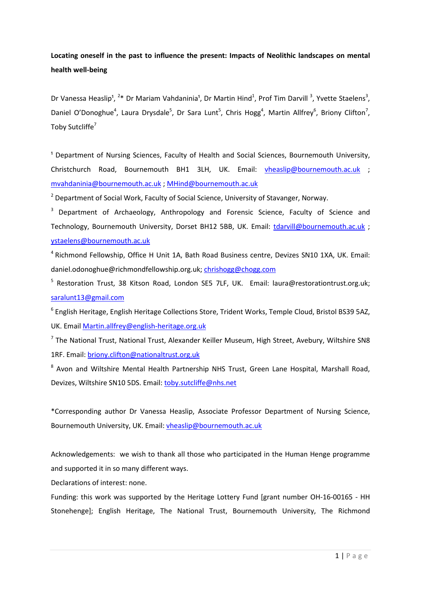# **Locating oneself in the past to influence the present: Impacts of Neolithic landscapes on mental health well-being**

Dr Vanessa Heaslip<sup>1</sup>, <sup>2\*</sup> Dr Mariam Vahdaninia<sup>1</sup>, Dr Martin Hind<sup>1</sup>, Prof Tim Darvill<sup>3</sup>, Yvette Staelens<sup>3</sup>, Daniel O'Donoghue<sup>4</sup>, Laura Drysdale<sup>5</sup>, Dr Sara Lunt<sup>5</sup>, Chris Hogg<sup>4</sup>, Martin Allfrey<sup>6</sup>, Briony Clifton<sup>7</sup>, Toby Sutcliffe<sup>7</sup>

<sup>1</sup> Department of Nursing Sciences, Faculty of Health and Social Sciences, Bournemouth University, Christchurch Road, Bournemouth BH1 3LH, UK. Email: [vheaslip@bournemouth.ac.uk](mailto:vheaslip@bournemouth.ac.uk) ; [mvahdaninia@bournemouth.ac.uk](mailto:mvahdaninia@bournemouth.ac.uk) ; [MHind@bournemouth.ac.uk](mailto:MHind@bournemouth.ac.uk) 

<sup>2</sup> Department of Social Work, Faculty of Social Science, University of Stavanger, Norway.

<sup>3</sup> Department of Archaeology, Anthropology and Forensic Science, Faculty of Science and Technology, Bournemouth University, Dorset BH12 5BB, UK. Email: [tdarvill@bournemouth.ac.uk](mailto:tdarvill@bournemouth.ac.uk) ; [ystaelens@bournemouth.ac.uk](mailto:ystaelens@bournemouth.ac.uk)

4 Richmond Fellowship, Office H Unit 1A, Bath Road Business centre, Devizes SN10 1XA, UK. Email: daniel.odonoghue@richmondfellowship.org.uk[; chrishogg@chogg.com](mailto:chrishogg@chogg.com)

<sup>5</sup> Restoration Trust, 38 Kitson Road, London SE5 7LF, UK. Email: laura@restorationtrust.org.uk; [saralunt13@gmail.com](mailto:saralunt13@gmail.com) 

<sup>6</sup> English Heritage, English Heritage Collections Store, Trident Works, Temple Cloud, Bristol BS39 5AZ, UK. Email [Martin.allfrey@english-heritage.org.uk](mailto:Martin.allfrey@english-heritage.org.uk)

 $<sup>7</sup>$  The National Trust, National Trust, Alexander Keiller Museum, High Street, Avebury, Wiltshire SN8</sup> 1RF. Email: [briony.clifton@nationaltrust.org.uk](mailto:briony.clifton@nationaltrust.org.uk)

<sup>8</sup> Avon and Wiltshire Mental Health Partnership NHS Trust, Green Lane Hospital, Marshall Road, Devizes, Wiltshire SN10 5DS. Email: [toby.sutcliffe@nhs.net](mailto:toby.sutcliffe@nhs.net)

\*Corresponding author Dr Vanessa Heaslip, Associate Professor Department of Nursing Science, Bournemouth University, UK. Email: [vheaslip@bournemouth.ac.uk](mailto:vheaslip@bournemouth.ac.uk) 

Acknowledgements: we wish to thank all those who participated in the Human Henge programme and supported it in so many different ways.

Declarations of interest: none.

Funding: this work was supported by the Heritage Lottery Fund [grant number OH-16-00165 - HH Stonehenge]; English Heritage, The National Trust, Bournemouth University, The Richmond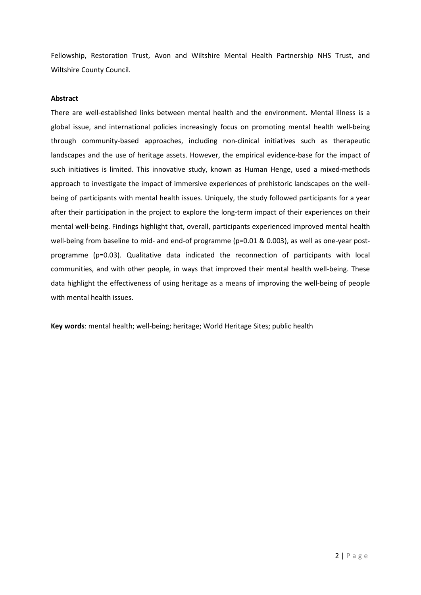Fellowship, Restoration Trust, Avon and Wiltshire Mental Health Partnership NHS Trust, and Wiltshire County Council.

# **Abstract**

There are well-established links between mental health and the environment. Mental illness is a global issue, and international policies increasingly focus on promoting mental health well-being through community-based approaches, including non-clinical initiatives such as therapeutic landscapes and the use of heritage assets. However, the empirical evidence-base for the impact of such initiatives is limited. This innovative study, known as Human Henge, used a mixed-methods approach to investigate the impact of immersive experiences of prehistoric landscapes on the wellbeing of participants with mental health issues. Uniquely, the study followed participants for a year after their participation in the project to explore the long-term impact of their experiences on their mental well-being. Findings highlight that, overall, participants experienced improved mental health well-being from baseline to mid- and end-of programme (p=0.01 & 0.003), as well as one-year postprogramme (p=0.03). Qualitative data indicated the reconnection of participants with local communities, and with other people, in ways that improved their mental health well-being. These data highlight the effectiveness of using heritage as a means of improving the well-being of people with mental health issues.

**Key words**: mental health; well-being; heritage; World Heritage Sites; public health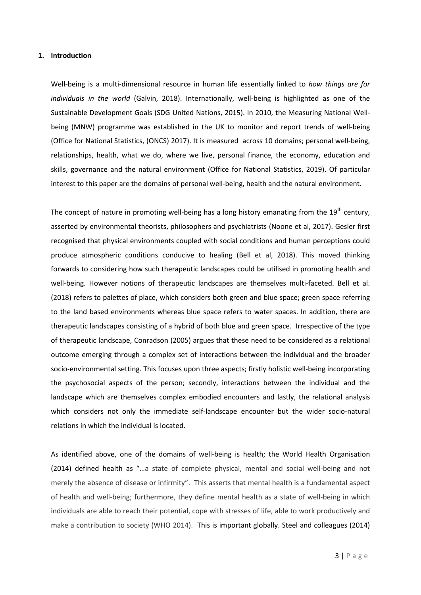#### **1. Introduction**

Well-being is a multi-dimensional resource in human life essentially linked to *how things are for individuals in the world* (Galvin, 2018). Internationally, well-being is highlighted as one of the Sustainable Development Goals (SDG United Nations, 2015). In 2010, the Measuring National Wellbeing (MNW) programme was established in the UK to monitor and report trends of well-being (Office for National Statistics, (ONCS) 2017). It is measured across 10 domains; personal well-being, relationships, health, what we do, where we live, personal finance, the economy, education and skills, governance and the natural environment (Office for National Statistics, 2019). Of particular interest to this paper are the domains of personal well-being, health and the natural environment.

The concept of nature in promoting well-being has a long history emanating from the  $19<sup>th</sup>$  century, asserted by environmental theorists, philosophers and psychiatrists (Noone et al, 2017). Gesler first recognised that physical environments coupled with social conditions and human perceptions could produce atmospheric conditions conducive to healing (Bell et al, 2018). This moved thinking forwards to considering how such therapeutic landscapes could be utilised in promoting health and well-being. However notions of therapeutic landscapes are themselves multi-faceted. Bell et al. (2018) refers to palettes of place, which considers both green and blue space; green space referring to the land based environments whereas blue space refers to water spaces. In addition, there are therapeutic landscapes consisting of a hybrid of both blue and green space. Irrespective of the type of therapeutic landscape, Conradson (2005) argues that these need to be considered as a relational outcome emerging through a complex set of interactions between the individual and the broader socio-environmental setting. This focuses upon three aspects; firstly holistic well-being incorporating the psychosocial aspects of the person; secondly, interactions between the individual and the landscape which are themselves complex embodied encounters and lastly, the relational analysis which considers not only the immediate self-landscape encounter but the wider socio-natural relations in which the individual is located.

As identified above, one of the domains of well-being is health; the World Health Organisation (2014) defined health as "…a state of complete physical, mental and social well-being and not merely the absence of disease or infirmity". This asserts that mental health is a fundamental aspect of health and well-being; furthermore, they define mental health as a state of well-being in which individuals are able to reach their potential, cope with stresses of life, able to work productively and make a contribution to society (WHO 2014). This is important globally. Steel and colleagues (2014)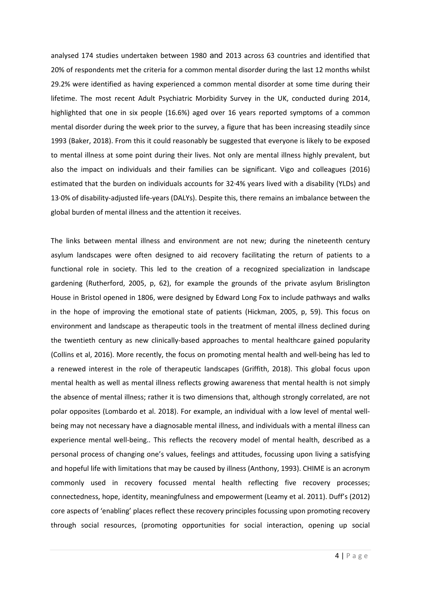analysed 174 studies undertaken between 1980 and 2013 across 63 countries and identified that 20% of respondents met the criteria for a common mental disorder during the last 12 months whilst 29.2% were identified as having experienced a common mental disorder at some time during their lifetime. The most recent Adult Psychiatric Morbidity Survey in the UK, conducted during 2014, highlighted that one in six people (16.6%) aged over 16 years reported symptoms of a common mental disorder during the week prior to the survey, a figure that has been increasing steadily since 1993 (Baker, 2018). From this it could reasonably be suggested that everyone is likely to be exposed to mental illness at some point during their lives. Not only are mental illness highly prevalent, but also the impact on individuals and their families can be significant. Vigo and colleagues (2016) estimated that the burden on individuals accounts for 32·4% years lived with a disability (YLDs) and 13·0% of disability-adjusted life-years (DALYs). Despite this, there remains an imbalance between the global burden of mental illness and the attention it receives.

The links between mental illness and environment are not new; during the nineteenth century asylum landscapes were often designed to aid recovery facilitating the return of patients to a functional role in society. This led to the creation of a recognized specialization in landscape gardening (Rutherford, 2005, p, 62), for example the grounds of the private asylum Brislington House in Bristol opened in 1806, were designed by Edward Long Fox to include pathways and walks in the hope of improving the emotional state of patients (Hickman, 2005, p, 59). This focus on environment and landscape as therapeutic tools in the treatment of mental illness declined during the twentieth century as new clinically-based approaches to mental healthcare gained popularity (Collins et al, 2016). More recently, the focus on promoting mental health and well-being has led to a renewed interest in the role of therapeutic landscapes (Griffith, 2018). This global focus upon mental health as well as mental illness reflects growing awareness that mental health is not simply the absence of mental illness; rather it is two dimensions that, although strongly correlated, are not polar opposites (Lombardo et al. 2018). For example, an individual with a low level of mental wellbeing may not necessary have a diagnosable mental illness, and individuals with a mental illness can experience mental well-being.. This reflects the recovery model of mental health, described as a personal process of changing one's values, feelings and attitudes, focussing upon living a satisfying and hopeful life with limitations that may be caused by illness (Anthony, 1993). CHIME is an acronym commonly used in recovery focussed mental health reflecting five recovery processes; connectedness, hope, identity, meaningfulness and empowerment (Leamy et al. 2011). Duff's (2012) core aspects of 'enabling' places reflect these recovery principles focussing upon promoting recovery through social resources, (promoting opportunities for social interaction, opening up social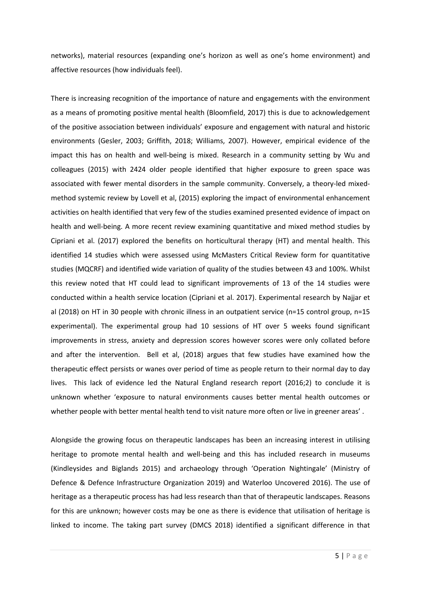networks), material resources (expanding one's horizon as well as one's home environment) and affective resources (how individuals feel).

There is increasing recognition of the importance of nature and engagements with the environment as a means of promoting positive mental health (Bloomfield, 2017) this is due to acknowledgement of the positive association between individuals' exposure and engagement with natural and historic environments (Gesler, 2003; Griffith, 2018; Williams, 2007). However, empirical evidence of the impact this has on health and well-being is mixed. Research in a community setting by Wu and colleagues (2015) with 2424 older people identified that higher exposure to green space was associated with fewer mental disorders in the sample community. Conversely, a theory-led mixedmethod systemic review by Lovell et al, (2015) exploring the impact of environmental enhancement activities on health identified that very few of the studies examined presented evidence of impact on health and well-being. A more recent review examining quantitative and mixed method studies by Cipriani et al. (2017) explored the benefits on horticultural therapy (HT) and mental health. This identified 14 studies which were assessed using McMasters Critical Review form for quantitative studies (MQCRF) and identified wide variation of quality of the studies between 43 and 100%. Whilst this review noted that HT could lead to significant improvements of 13 of the 14 studies were conducted within a health service location (Cipriani et al. 2017). Experimental research by Najjar et al (2018) on HT in 30 people with chronic illness in an outpatient service (n=15 control group, n=15 experimental). The experimental group had 10 sessions of HT over 5 weeks found significant improvements in stress, anxiety and depression scores however scores were only collated before and after the intervention. Bell et al, (2018) argues that few studies have examined how the therapeutic effect persists or wanes over period of time as people return to their normal day to day lives. This lack of evidence led the Natural England research report (2016;2) to conclude it is unknown whether 'exposure to natural environments causes better mental health outcomes or whether people with better mental health tend to visit nature more often or live in greener areas' .

Alongside the growing focus on therapeutic landscapes has been an increasing interest in utilising heritage to promote mental health and well-being and this has included research in museums (Kindleysides and Biglands 2015) and archaeology through 'Operation Nightingale' (Ministry of Defence & Defence Infrastructure Organization 2019) and Waterloo Uncovered 2016). The use of heritage as a therapeutic process has had less research than that of therapeutic landscapes. Reasons for this are unknown; however costs may be one as there is evidence that utilisation of heritage is linked to income. The taking part survey (DMCS 2018) identified a significant difference in that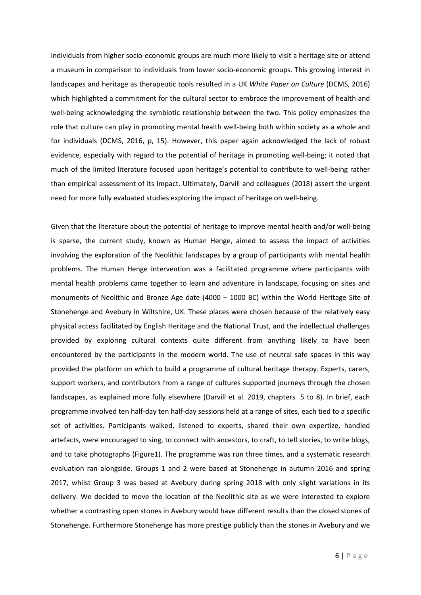individuals from higher socio-economic groups are much more likely to visit a heritage site or attend a museum in comparison to individuals from lower socio-economic groups. This growing interest in landscapes and heritage as therapeutic tools resulted in a UK *White Paper on Culture* (DCMS, 2016) which highlighted a commitment for the cultural sector to embrace the improvement of health and well-being acknowledging the symbiotic relationship between the two. This policy emphasizes the role that culture can play in promoting mental health well-being both within society as a whole and for individuals (DCMS, 2016, p, 15). However, this paper again acknowledged the lack of robust evidence, especially with regard to the potential of heritage in promoting well-being; it noted that much of the limited literature focused upon heritage's potential to contribute to well-being rather than empirical assessment of its impact. Ultimately, Darvill and colleagues (2018) assert the urgent need for more fully evaluated studies exploring the impact of heritage on well-being.

Given that the literature about the potential of heritage to improve mental health and/or well-being is sparse, the current study, known as Human Henge, aimed to assess the impact of activities involving the exploration of the Neolithic landscapes by a group of participants with mental health problems. The Human Henge intervention was a facilitated programme where participants with mental health problems came together to learn and adventure in landscape, focusing on sites and monuments of Neolithic and Bronze Age date (4000 – 1000 BC) within the World Heritage Site of Stonehenge and Avebury in Wiltshire, UK. These places were chosen because of the relatively easy physical access facilitated by English Heritage and the National Trust, and the intellectual challenges provided by exploring cultural contexts quite different from anything likely to have been encountered by the participants in the modern world. The use of neutral safe spaces in this way provided the platform on which to build a programme of cultural heritage therapy. Experts, carers, support workers, and contributors from a range of cultures supported journeys through the chosen landscapes, as explained more fully elsewhere (Darvill et al. 2019, chapters 5 to 8). In brief, each programme involved ten half-day ten half-day sessions held at a range of sites, each tied to a specific set of activities. Participants walked, listened to experts, shared their own expertize, handled artefacts, were encouraged to sing, to connect with ancestors, to craft, to tell stories, to write blogs, and to take photographs (Figure1). The programme was run three times, and a systematic research evaluation ran alongside. Groups 1 and 2 were based at Stonehenge in autumn 2016 and spring 2017, whilst Group 3 was based at Avebury during spring 2018 with only slight variations in its delivery. We decided to move the location of the Neolithic site as we were interested to explore whether a contrasting open stones in Avebury would have different results than the closed stones of Stonehenge. Furthermore Stonehenge has more prestige publicly than the stones in Avebury and we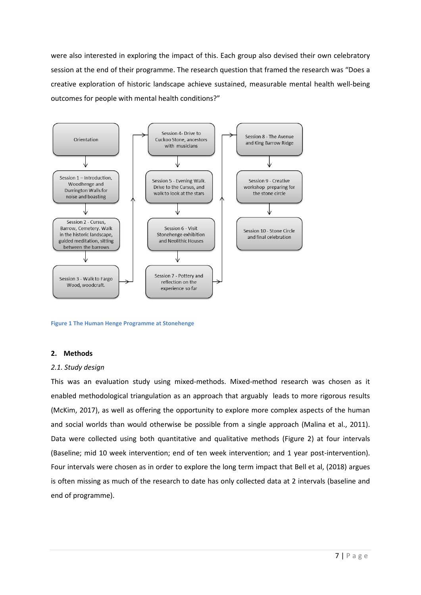were also interested in exploring the impact of this. Each group also devised their own celebratory session at the end of their programme. The research question that framed the research was "Does a creative exploration of historic landscape achieve sustained, measurable mental health well-being outcomes for people with mental health conditions?"



**Figure 1 The Human Henge Programme at Stonehenge**

# **2. Methods**

#### *2.1. Study design*

This was an evaluation study using mixed-methods. Mixed-method research was chosen as it enabled methodological triangulation as an approach that arguably leads to more rigorous results (McKim, 2017), as well as offering the opportunity to explore more complex aspects of the human and social worlds than would otherwise be possible from a single approach (Malina et al., 2011). Data were collected using both quantitative and qualitative methods (Figure 2) at four intervals (Baseline; mid 10 week intervention; end of ten week intervention; and 1 year post-intervention). Four intervals were chosen as in order to explore the long term impact that Bell et al, (2018) argues is often missing as much of the research to date has only collected data at 2 intervals (baseline and end of programme).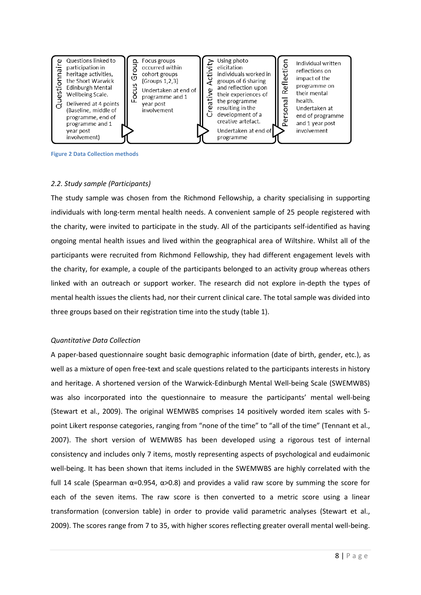

**Figure 2 Data Collection methods**

## *2.2. Study sample (Participants)*

The study sample was chosen from the Richmond Fellowship, a charity specialising in supporting individuals with long-term mental health needs. A convenient sample of 25 people registered with the charity, were invited to participate in the study. All of the participants self-identified as having ongoing mental health issues and lived within the geographical area of Wiltshire. Whilst all of the participants were recruited from Richmond Fellowship, they had different engagement levels with the charity, for example, a couple of the participants belonged to an activity group whereas others linked with an outreach or support worker. The research did not explore in-depth the types of mental health issues the clients had, nor their current clinical care. The total sample was divided into three groups based on their registration time into the study (table 1).

#### *Quantitative Data Collection*

A paper-based questionnaire sought basic demographic information (date of birth, gender, etc.), as well as a mixture of open free-text and scale questions related to the participants interests in history and heritage. A shortened version of the Warwick-Edinburgh Mental Well-being Scale (SWEMWBS) was also incorporated into the questionnaire to measure the participants' mental well-being (Stewart et al., 2009). The original WEMWBS comprises 14 positively worded item scales with 5 point Likert response categories, ranging from "none of the time" to "all of the time" (Tennant et al., 2007). The short version of WEMWBS has been developed using a rigorous test of internal consistency and includes only 7 items, mostly representing aspects of psychological and eudaimonic well-being. It has been shown that items included in the SWEMWBS are highly correlated with the full 14 scale (Spearman  $\alpha$ =0.954,  $\alpha$ >0.8) and provides a valid raw score by summing the score for each of the seven items. The raw score is then converted to a metric score using a linear transformation (conversion table) in order to provide valid parametric analyses (Stewart et al., 2009). The scores range from 7 to 35, with higher scores reflecting greater overall mental well-being.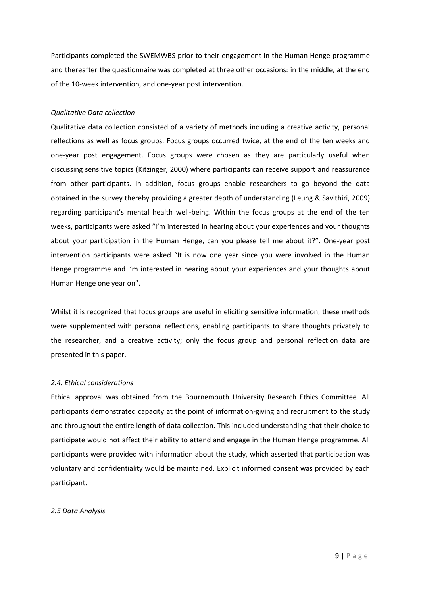Participants completed the SWEMWBS prior to their engagement in the Human Henge programme and thereafter the questionnaire was completed at three other occasions: in the middle, at the end of the 10-week intervention, and one-year post intervention.

#### *Qualitative Data collection*

Qualitative data collection consisted of a variety of methods including a creative activity, personal reflections as well as focus groups. Focus groups occurred twice, at the end of the ten weeks and one-year post engagement. Focus groups were chosen as they are particularly useful when discussing sensitive topics (Kitzinger, 2000) where participants can receive support and reassurance from other participants. In addition, focus groups enable researchers to go beyond the data obtained in the survey thereby providing a greater depth of understanding (Leung & Savithiri, 2009) regarding participant's mental health well-being. Within the focus groups at the end of the ten weeks, participants were asked "I'm interested in hearing about your experiences and your thoughts about your participation in the Human Henge, can you please tell me about it?". One-year post intervention participants were asked "It is now one year since you were involved in the Human Henge programme and I'm interested in hearing about your experiences and your thoughts about Human Henge one year on".

Whilst it is recognized that focus groups are useful in eliciting sensitive information, these methods were supplemented with personal reflections, enabling participants to share thoughts privately to the researcher, and a creative activity; only the focus group and personal reflection data are presented in this paper.

# *2.4. Ethical considerations*

Ethical approval was obtained from the Bournemouth University Research Ethics Committee. All participants demonstrated capacity at the point of information-giving and recruitment to the study and throughout the entire length of data collection. This included understanding that their choice to participate would not affect their ability to attend and engage in the Human Henge programme. All participants were provided with information about the study, which asserted that participation was voluntary and confidentiality would be maintained. Explicit informed consent was provided by each participant.

# *2.5 Data Analysis*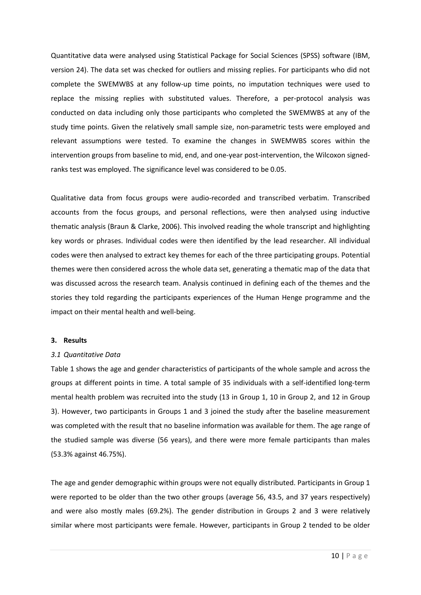Quantitative data were analysed using Statistical Package for Social Sciences (SPSS) software (IBM, version 24). The data set was checked for outliers and missing replies. For participants who did not complete the SWEMWBS at any follow-up time points, no imputation techniques were used to replace the missing replies with substituted values. Therefore, a per-protocol analysis was conducted on data including only those participants who completed the SWEMWBS at any of the study time points. Given the relatively small sample size, non-parametric tests were employed and relevant assumptions were tested. To examine the changes in SWEMWBS scores within the intervention groups from baseline to mid, end, and one-year post-intervention, the Wilcoxon signedranks test was employed. The significance level was considered to be 0.05.

Qualitative data from focus groups were audio-recorded and transcribed verbatim. Transcribed accounts from the focus groups, and personal reflections, were then analysed using inductive thematic analysis (Braun & Clarke, 2006). This involved reading the whole transcript and highlighting key words or phrases. Individual codes were then identified by the lead researcher. All individual codes were then analysed to extract key themes for each of the three participating groups. Potential themes were then considered across the whole data set, generating a thematic map of the data that was discussed across the research team. Analysis continued in defining each of the themes and the stories they told regarding the participants experiences of the Human Henge programme and the impact on their mental health and well-being.

# **3. Results**

#### *3.1 Quantitative Data*

Table 1 shows the age and gender characteristics of participants of the whole sample and across the groups at different points in time. A total sample of 35 individuals with a self-identified long-term mental health problem was recruited into the study (13 in Group 1, 10 in Group 2, and 12 in Group 3). However, two participants in Groups 1 and 3 joined the study after the baseline measurement was completed with the result that no baseline information was available for them. The age range of the studied sample was diverse (56 years), and there were more female participants than males (53.3% against 46.75%).

The age and gender demographic within groups were not equally distributed. Participants in Group 1 were reported to be older than the two other groups (average 56, 43.5, and 37 years respectively) and were also mostly males (69.2%). The gender distribution in Groups 2 and 3 were relatively similar where most participants were female. However, participants in Group 2 tended to be older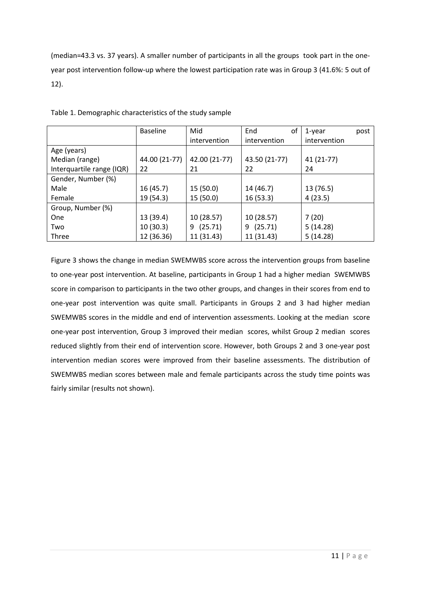(median=43.3 vs. 37 years). A smaller number of participants in all the groups took part in the oneyear post intervention follow-up where the lowest participation rate was in Group 3 (41.6%: 5 out of 12).

|                           | <b>Baseline</b> | Mid           | End           | οf | 1-year       | post |
|---------------------------|-----------------|---------------|---------------|----|--------------|------|
|                           |                 | intervention  | intervention  |    | intervention |      |
| Age (years)               |                 |               |               |    |              |      |
| Median (range)            | 44.00 (21-77)   | 42.00 (21-77) | 43.50 (21-77) |    | 41 (21-77)   |      |
| Interquartile range (IQR) | 22              | 21            | 22            |    | 24           |      |
| Gender, Number (%)        |                 |               |               |    |              |      |
| Male                      | 16(45.7)        | 15(50.0)      | 14 (46.7)     |    | 13 (76.5)    |      |
| Female                    | 19 (54.3)       | 15(50.0)      | 16(53.3)      |    | 4(23.5)      |      |
| Group, Number (%)         |                 |               |               |    |              |      |
| One                       | 13 (39.4)       | 10 (28.57)    | 10(28.57)     |    | 7(20)        |      |
| Two                       | 10(30.3)        | (25.71)<br>9  | (25.71)<br>9  |    | 5(14.28)     |      |
| Three                     | 12 (36.36)      | 11 (31.43)    | 11 (31.43)    |    | 5(14.28)     |      |

Table 1. Demographic characteristics of the study sample

Figure 3 shows the change in median SWEMWBS score across the intervention groups from baseline to one-year post intervention. At baseline, participants in Group 1 had a higher median SWEMWBS score in comparison to participants in the two other groups, and changes in their scores from end to one-year post intervention was quite small. Participants in Groups 2 and 3 had higher median SWEMWBS scores in the middle and end of intervention assessments. Looking at the median score one-year post intervention, Group 3 improved their median scores, whilst Group 2 median scores reduced slightly from their end of intervention score. However, both Groups 2 and 3 one-year post intervention median scores were improved from their baseline assessments. The distribution of SWEMWBS median scores between male and female participants across the study time points was fairly similar (results not shown).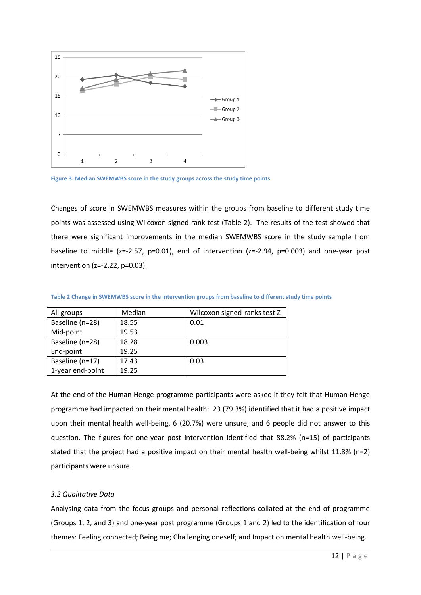

**Figure 3. Median SWEMWBS score in the study groups across the study time points**

Changes of score in SWEMWBS measures within the groups from baseline to different study time points was assessed using Wilcoxon signed-rank test (Table 2). The results of the test showed that there were significant improvements in the median SWEMWBS score in the study sample from baseline to middle (z=-2.57, p=0.01), end of intervention (z=-2.94, p=0.003) and one-year post intervention (z=-2.22, p=0.03).

| All groups       | Median | Wilcoxon signed-ranks test Z |
|------------------|--------|------------------------------|
| Baseline (n=28)  | 18.55  | 0.01                         |
| Mid-point        | 19.53  |                              |
| Baseline (n=28)  | 18.28  | 0.003                        |
| End-point        | 19.25  |                              |
| Baseline (n=17)  | 17.43  | 0.03                         |
| 1-year end-point | 19.25  |                              |

**Table 2 Change in SWEMWBS score in the intervention groups from baseline to different study time points**

At the end of the Human Henge programme participants were asked if they felt that Human Henge programme had impacted on their mental health: 23 (79.3%) identified that it had a positive impact upon their mental health well-being, 6 (20.7%) were unsure, and 6 people did not answer to this question. The figures for one-year post intervention identified that 88.2% (n=15) of participants stated that the project had a positive impact on their mental health well-being whilst 11.8% (n=2) participants were unsure.

# *3.2 Qualitative Data*

Analysing data from the focus groups and personal reflections collated at the end of programme (Groups 1, 2, and 3) and one-year post programme (Groups 1 and 2) led to the identification of four themes: Feeling connected; Being me; Challenging oneself; and Impact on mental health well-being.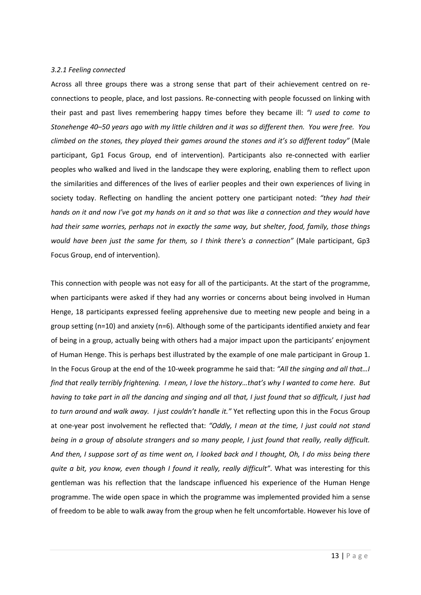## *3.2.1 Feeling connected*

Across all three groups there was a strong sense that part of their achievement centred on reconnections to people, place, and lost passions. Re-connecting with people focussed on linking with their past and past lives remembering happy times before they became ill: *"I used to come to Stonehenge 40–50 years ago with my little children and it was so different then. You were free. You climbed on the stones, they played their games around the stones and it's so different today"* (Male participant, Gp1 Focus Group, end of intervention). Participants also re-connected with earlier peoples who walked and lived in the landscape they were exploring, enabling them to reflect upon the similarities and differences of the lives of earlier peoples and their own experiences of living in society today. Reflecting on handling the ancient pottery one participant noted: *"they had their hands on it and now I've got my hands on it and so that was like a connection and they would have had their same worries, perhaps not in exactly the same way, but shelter, food, family, those things would have been just the same for them, so I think there's a connection"* (Male participant, Gp3 Focus Group, end of intervention).

This connection with people was not easy for all of the participants. At the start of the programme, when participants were asked if they had any worries or concerns about being involved in Human Henge, 18 participants expressed feeling apprehensive due to meeting new people and being in a group setting (n=10) and anxiety (n=6). Although some of the participants identified anxiety and fear of being in a group, actually being with others had a major impact upon the participants' enjoyment of Human Henge. This is perhaps best illustrated by the example of one male participant in Group 1. In the Focus Group at the end of the 10-week programme he said that: *"All the singing and all that…I find that really terribly frightening. I mean, I love the history…that's why I wanted to come here. But having to take part in all the dancing and singing and all that, I just found that so difficult, I just had to turn around and walk away. I just couldn't handle it."* Yet reflecting upon this in the Focus Group at one-year post involvement he reflected that: *"Oddly, I mean at the time, I just could not stand being in a group of absolute strangers and so many people, I just found that really, really difficult. And then, I suppose sort of as time went on, I looked back and I thought, Oh, I do miss being there quite a bit, you know, even though I found it really, really difficult"*. What was interesting for this gentleman was his reflection that the landscape influenced his experience of the Human Henge programme. The wide open space in which the programme was implemented provided him a sense of freedom to be able to walk away from the group when he felt uncomfortable. However his love of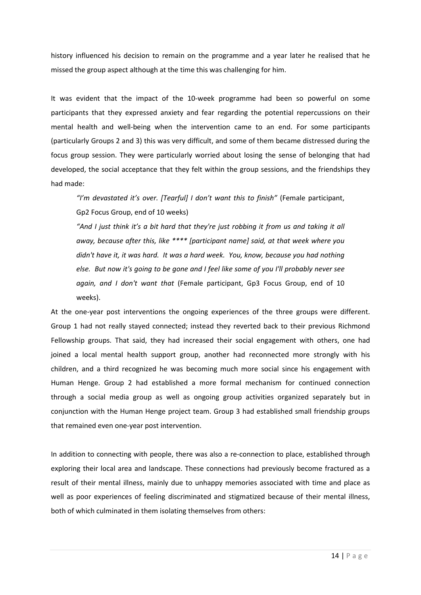history influenced his decision to remain on the programme and a year later he realised that he missed the group aspect although at the time this was challenging for him.

It was evident that the impact of the 10-week programme had been so powerful on some participants that they expressed anxiety and fear regarding the potential repercussions on their mental health and well-being when the intervention came to an end. For some participants (particularly Groups 2 and 3) this was very difficult, and some of them became distressed during the focus group session. They were particularly worried about losing the sense of belonging that had developed, the social acceptance that they felt within the group sessions, and the friendships they had made:

*"I'm devastated it's over. [Tearful] I don't want this to finish"* (Female participant, Gp2 Focus Group, end of 10 weeks)

*"And I just think it's a bit hard that they're just robbing it from us and taking it all away, because after this, like \*\*\*\* [participant name] said, at that week where you didn't have it, it was hard. It was a hard week. You, know, because you had nothing else. But now it's going to be gone and I feel like some of you I'll probably never see again, and I don't want that* (Female participant, Gp3 Focus Group, end of 10 weeks).

At the one-year post interventions the ongoing experiences of the three groups were different. Group 1 had not really stayed connected; instead they reverted back to their previous Richmond Fellowship groups. That said, they had increased their social engagement with others, one had joined a local mental health support group, another had reconnected more strongly with his children, and a third recognized he was becoming much more social since his engagement with Human Henge. Group 2 had established a more formal mechanism for continued connection through a social media group as well as ongoing group activities organized separately but in conjunction with the Human Henge project team. Group 3 had established small friendship groups that remained even one-year post intervention.

In addition to connecting with people, there was also a re-connection to place, established through exploring their local area and landscape. These connections had previously become fractured as a result of their mental illness, mainly due to unhappy memories associated with time and place as well as poor experiences of feeling discriminated and stigmatized because of their mental illness, both of which culminated in them isolating themselves from others: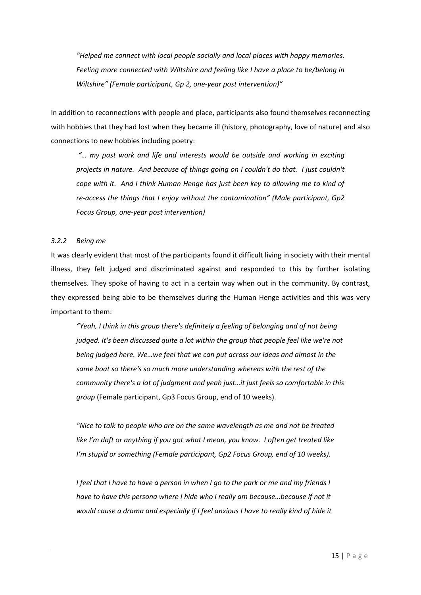*"Helped me connect with local people socially and local places with happy memories. Feeling more connected with Wiltshire and feeling like I have a place to be/belong in Wiltshire" (Female participant, Gp 2, one-year post intervention)"*

In addition to reconnections with people and place, participants also found themselves reconnecting with hobbies that they had lost when they became ill (history, photography, love of nature) and also connections to new hobbies including poetry:

*"… my past work and life and interests would be outside and working in exciting projects in nature. And because of things going on I couldn't do that. I just couldn't cope with it. And I think Human Henge has just been key to allowing me to kind of re-access the things that I enjoy without the contamination" (Male participant, Gp2 Focus Group, one-year post intervention)*

## *3.2.2 Being me*

It was clearly evident that most of the participants found it difficult living in society with their mental illness, they felt judged and discriminated against and responded to this by further isolating themselves. They spoke of having to act in a certain way when out in the community. By contrast, they expressed being able to be themselves during the Human Henge activities and this was very important to them:

*"Yeah, I think in this group there's definitely a feeling of belonging and of not being judged. It's been discussed quite a lot within the group that people feel like we're not being judged here. We…we feel that we can put across our ideas and almost in the same boat so there's so much more understanding whereas with the rest of the community there's a lot of judgment and yeah just…it just feels so comfortable in this group* (Female participant, Gp3 Focus Group, end of 10 weeks).

*"Nice to talk to people who are on the same wavelength as me and not be treated like I'm daft or anything if you got what I mean, you know. I often get treated like I'm stupid or something (Female participant, Gp2 Focus Group, end of 10 weeks).*

*I feel that I have to have a person in when I go to the park or me and my friends I have to have this persona where I hide who I really am because…because if not it would cause a drama and especially if I feel anxious I have to really kind of hide it*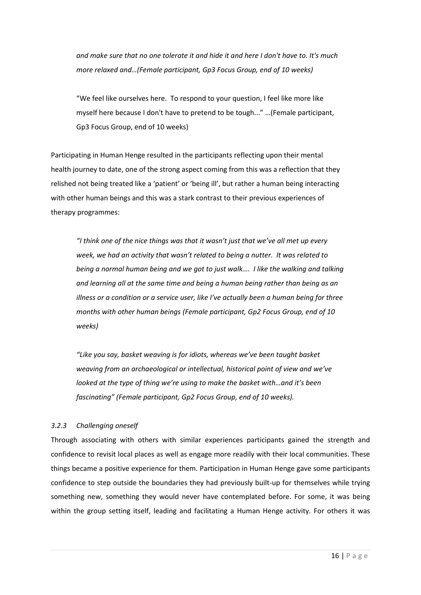*and make sure that no one tolerate it and hide it and here I don't have to. It's much more relaxed and…(Female participant, Gp3 Focus Group, end of 10 weeks)*

"We feel like ourselves here. To respond to your question, I feel like more like myself here because I don't have to pretend to be tough..." …(Female participant, Gp3 Focus Group, end of 10 weeks)

Participating in Human Henge resulted in the participants reflecting upon their mental health journey to date, one of the strong aspect coming from this was a reflection that they relished not being treated like a 'patient' or 'being ill', but rather a human being interacting with other human beings and this was a stark contrast to their previous experiences of therapy programmes:

*"I think one of the nice things was that it wasn't just that we've all met up every week, we had an activity that wasn't related to being a nutter. It was related to being a normal human being and we got to just walk…. I like the walking and talking and learning all at the same time and being a human being rather than being as an illness or a condition or a service user, like I've actually been a human being for three months with other human beings (Female participant, Gp2 Focus Group, end of 10 weeks)*

*"Like you say, basket weaving is for idiots, whereas we've been taught basket weaving from an archaeological or intellectual, historical point of view and we've looked at the type of thing we're using to make the basket with…and it's been fascinating" (Female participant, Gp2 Focus Group, end of 10 weeks).*

# *3.2.3 Challenging oneself*

Through associating with others with similar experiences participants gained the strength and confidence to revisit local places as well as engage more readily with their local communities. These things became a positive experience for them. Participation in Human Henge gave some participants confidence to step outside the boundaries they had previously built-up for themselves while trying something new, something they would never have contemplated before. For some, it was being within the group setting itself, leading and facilitating a Human Henge activity. For others it was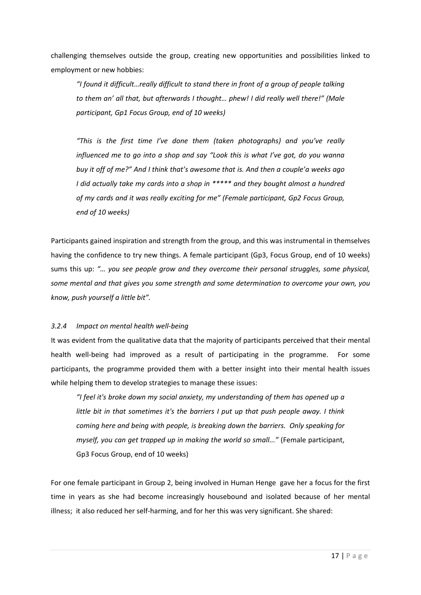challenging themselves outside the group, creating new opportunities and possibilities linked to employment or new hobbies:

*"I found it difficult…really difficult to stand there in front of a group of people talking to them an' all that, but afterwards I thought… phew! I did really well there!" (Male participant, Gp1 Focus Group, end of 10 weeks)*

*"This is the first time I've done them (taken photographs) and you've really influenced me to go into a shop and say "Look this is what I've got, do you wanna buy it off of me?" And I think that's awesome that is. And then a couple'a weeks ago I did actually take my cards into a shop in \*\*\*\*\* and they bought almost a hundred of my cards and it was really exciting for me" (Female participant, Gp2 Focus Group, end of 10 weeks)*

Participants gained inspiration and strength from the group, and this was instrumental in themselves having the confidence to try new things. A female participant (Gp3, Focus Group, end of 10 weeks) sums this up: *"… you see people grow and they overcome their personal struggles, some physical, some mental and that gives you some strength and some determination to overcome your own, you know, push yourself a little bit".*

# *3.2.4 Impact on mental health well-being*

It was evident from the qualitative data that the majority of participants perceived that their mental health well-being had improved as a result of participating in the programme. For some participants, the programme provided them with a better insight into their mental health issues while helping them to develop strategies to manage these issues:

*"I feel it's broke down my social anxiety, my understanding of them has opened up a little bit in that sometimes it's the barriers I put up that push people away. I think coming here and being with people, is breaking down the barriers. Only speaking for myself, you can get trapped up in making the world so small..."* (Female participant, Gp3 Focus Group, end of 10 weeks)

For one female participant in Group 2, being involved in Human Henge gave her a focus for the first time in years as she had become increasingly housebound and isolated because of her mental illness; it also reduced her self-harming, and for her this was very significant. She shared: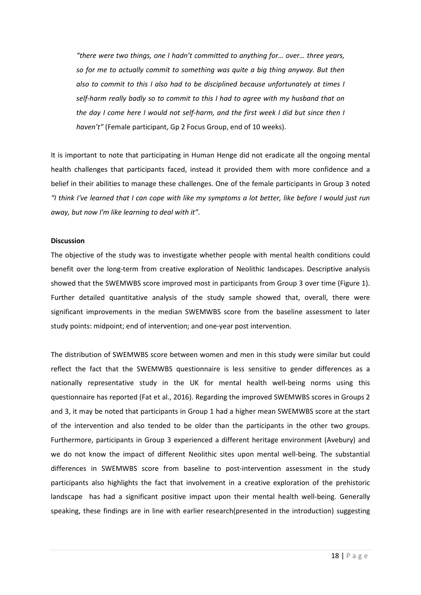*"there were two things, one I hadn't committed to anything for… over… three years, so for me to actually commit to something was quite a big thing anyway. But then also to commit to this I also had to be disciplined because unfortunately at times I self-harm really badly so to commit to this I had to agree with my husband that on the day I come here I would not self-harm, and the first week I did but since then I haven't"* (Female participant, Gp 2 Focus Group, end of 10 weeks).

It is important to note that participating in Human Henge did not eradicate all the ongoing mental health challenges that participants faced, instead it provided them with more confidence and a belief in their abilities to manage these challenges. One of the female participants in Group 3 noted *"I think I've learned that I can cope with like my symptoms a lot better, like before I would just run away, but now I'm like learning to deal with it".* 

#### **Discussion**

The objective of the study was to investigate whether people with mental health conditions could benefit over the long-term from creative exploration of Neolithic landscapes. Descriptive analysis showed that the SWEMWBS score improved most in participants from Group 3 over time (Figure 1). Further detailed quantitative analysis of the study sample showed that, overall, there were significant improvements in the median SWEMWBS score from the baseline assessment to later study points: midpoint; end of intervention; and one-year post intervention.

The distribution of SWEMWBS score between women and men in this study were similar but could reflect the fact that the SWEMWBS questionnaire is less sensitive to gender differences as a nationally representative study in the UK for mental health well-being norms using this questionnaire has reported (Fat et al., 2016). Regarding the improved SWEMWBS scores in Groups 2 and 3, it may be noted that participants in Group 1 had a higher mean SWEMWBS score at the start of the intervention and also tended to be older than the participants in the other two groups. Furthermore, participants in Group 3 experienced a different heritage environment (Avebury) and we do not know the impact of different Neolithic sites upon mental well-being. The substantial differences in SWEMWBS score from baseline to post-intervention assessment in the study participants also highlights the fact that involvement in a creative exploration of the prehistoric landscape has had a significant positive impact upon their mental health well-being. Generally speaking, these findings are in line with earlier research(presented in the introduction) suggesting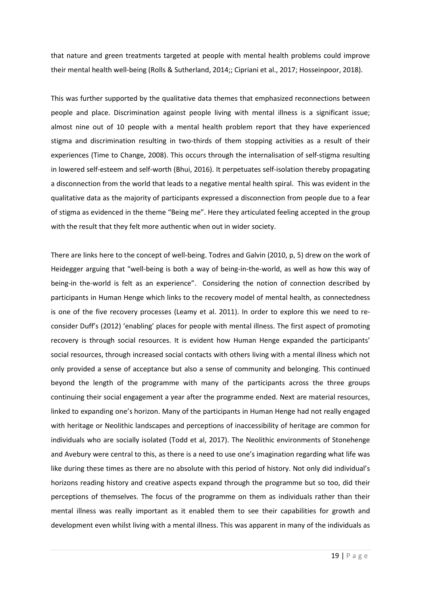that nature and green treatments targeted at people with mental health problems could improve their mental health well-being (Rolls & Sutherland, 2014;; Cipriani et al., 2017; Hosseinpoor, 2018).

This was further supported by the qualitative data themes that emphasized reconnections between people and place. Discrimination against people living with mental illness is a significant issue; almost nine out of 10 people with a mental health problem report that they have experienced stigma and discrimination resulting in two-thirds of them stopping activities as a result of their experiences (Time to Change, 2008). This occurs through the internalisation of self-stigma resulting in lowered self-esteem and self-worth (Bhui, 2016). It perpetuates self-isolation thereby propagating a disconnection from the world that leads to a negative mental health spiral. This was evident in the qualitative data as the majority of participants expressed a disconnection from people due to a fear of stigma as evidenced in the theme "Being me". Here they articulated feeling accepted in the group with the result that they felt more authentic when out in wider society.

There are links here to the concept of well-being. Todres and Galvin (2010, p, 5) drew on the work of Heidegger arguing that "well-being is both a way of being-in-the-world, as well as how this way of being-in the-world is felt as an experience". Considering the notion of connection described by participants in Human Henge which links to the recovery model of mental health, as connectedness is one of the five recovery processes (Leamy et al. 2011). In order to explore this we need to reconsider Duff's (2012) 'enabling' places for people with mental illness. The first aspect of promoting recovery is through social resources. It is evident how Human Henge expanded the participants' social resources, through increased social contacts with others living with a mental illness which not only provided a sense of acceptance but also a sense of community and belonging. This continued beyond the length of the programme with many of the participants across the three groups continuing their social engagement a year after the programme ended. Next are material resources, linked to expanding one's horizon. Many of the participants in Human Henge had not really engaged with heritage or Neolithic landscapes and perceptions of inaccessibility of heritage are common for individuals who are socially isolated (Todd et al, 2017). The Neolithic environments of Stonehenge and Avebury were central to this, as there is a need to use one's imagination regarding what life was like during these times as there are no absolute with this period of history. Not only did individual's horizons reading history and creative aspects expand through the programme but so too, did their perceptions of themselves. The focus of the programme on them as individuals rather than their mental illness was really important as it enabled them to see their capabilities for growth and development even whilst living with a mental illness. This was apparent in many of the individuals as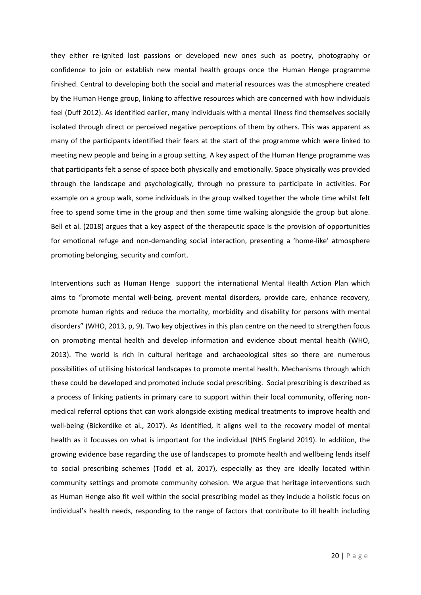they either re-ignited lost passions or developed new ones such as poetry, photography or confidence to join or establish new mental health groups once the Human Henge programme finished. Central to developing both the social and material resources was the atmosphere created by the Human Henge group, linking to affective resources which are concerned with how individuals feel (Duff 2012). As identified earlier, many individuals with a mental illness find themselves socially isolated through direct or perceived negative perceptions of them by others. This was apparent as many of the participants identified their fears at the start of the programme which were linked to meeting new people and being in a group setting. A key aspect of the Human Henge programme was that participants felt a sense of space both physically and emotionally. Space physically was provided through the landscape and psychologically, through no pressure to participate in activities. For example on a group walk, some individuals in the group walked together the whole time whilst felt free to spend some time in the group and then some time walking alongside the group but alone. Bell et al. (2018) argues that a key aspect of the therapeutic space is the provision of opportunities for emotional refuge and non-demanding social interaction, presenting a 'home-like' atmosphere promoting belonging, security and comfort.

Interventions such as Human Henge support the international Mental Health Action Plan which aims to "promote mental well-being, prevent mental disorders, provide care, enhance recovery, promote human rights and reduce the mortality, morbidity and disability for persons with mental disorders" (WHO, 2013, p, 9). Two key objectives in this plan centre on the need to strengthen focus on promoting mental health and develop information and evidence about mental health (WHO, 2013). The world is rich in cultural heritage and archaeological sites so there are numerous possibilities of utilising historical landscapes to promote mental health. Mechanisms through which these could be developed and promoted include social prescribing. Social prescribing is described as a process of linking patients in primary care to support within their local community, offering nonmedical referral options that can work alongside existing medical treatments to improve health and well-being (Bickerdike et al., 2017). As identified, it aligns well to the recovery model of mental health as it focusses on what is important for the individual (NHS England 2019). In addition, the growing evidence base regarding the use of landscapes to promote health and wellbeing lends itself to social prescribing schemes (Todd et al, 2017), especially as they are ideally located within community settings and promote community cohesion. We argue that heritage interventions such as Human Henge also fit well within the social prescribing model as they include a holistic focus on individual's health needs, responding to the range of factors that contribute to ill health including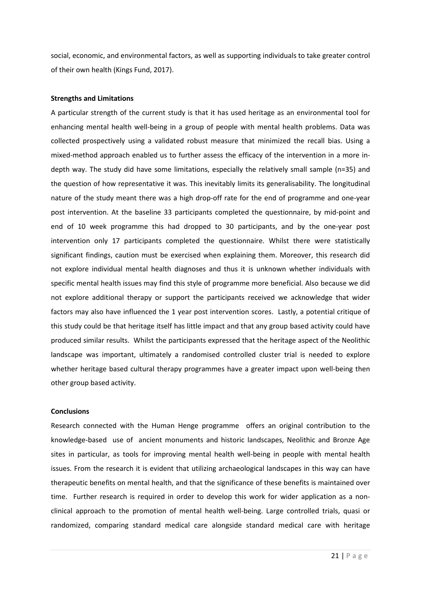social, economic, and environmental factors, as well as supporting individuals to take greater control of their own health (Kings Fund, 2017).

## **Strengths and Limitations**

A particular strength of the current study is that it has used heritage as an environmental tool for enhancing mental health well-being in a group of people with mental health problems. Data was collected prospectively using a validated robust measure that minimized the recall bias. Using a mixed-method approach enabled us to further assess the efficacy of the intervention in a more indepth way. The study did have some limitations, especially the relatively small sample (n=35) and the question of how representative it was. This inevitably limits its generalisability. The longitudinal nature of the study meant there was a high drop-off rate for the end of programme and one-year post intervention. At the baseline 33 participants completed the questionnaire, by mid-point and end of 10 week programme this had dropped to 30 participants, and by the one-year post intervention only 17 participants completed the questionnaire. Whilst there were statistically significant findings, caution must be exercised when explaining them. Moreover, this research did not explore individual mental health diagnoses and thus it is unknown whether individuals with specific mental health issues may find this style of programme more beneficial. Also because we did not explore additional therapy or support the participants received we acknowledge that wider factors may also have influenced the 1 year post intervention scores. Lastly, a potential critique of this study could be that heritage itself has little impact and that any group based activity could have produced similar results. Whilst the participants expressed that the heritage aspect of the Neolithic landscape was important, ultimately a randomised controlled cluster trial is needed to explore whether heritage based cultural therapy programmes have a greater impact upon well-being then other group based activity.

#### **Conclusions**

Research connected with the Human Henge programme offers an original contribution to the knowledge-based use of ancient monuments and historic landscapes, Neolithic and Bronze Age sites in particular, as tools for improving mental health well-being in people with mental health issues. From the research it is evident that utilizing archaeological landscapes in this way can have therapeutic benefits on mental health, and that the significance of these benefits is maintained over time. Further research is required in order to develop this work for wider application as a nonclinical approach to the promotion of mental health well-being. Large controlled trials, quasi or randomized, comparing standard medical care alongside standard medical care with heritage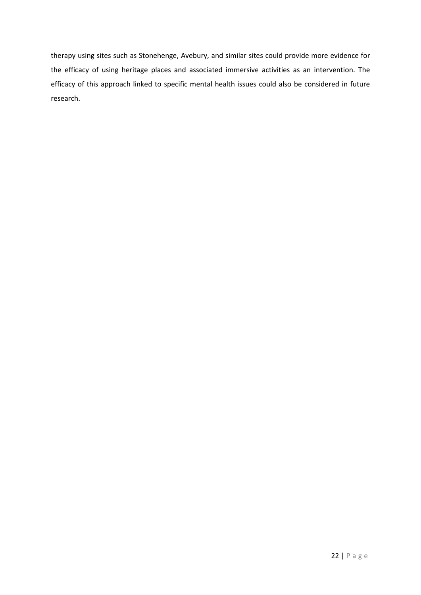therapy using sites such as Stonehenge, Avebury, and similar sites could provide more evidence for the efficacy of using heritage places and associated immersive activities as an intervention. The efficacy of this approach linked to specific mental health issues could also be considered in future research.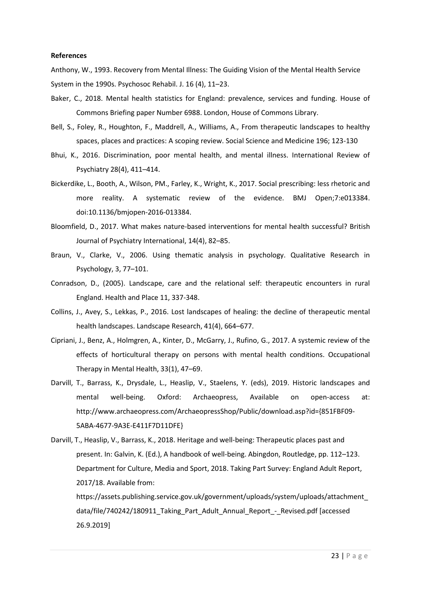#### **References**

Anthony, W., 1993. Recovery from Mental Illness: The Guiding Vision of the Mental Health Service System in the 1990s. Psychosoc Rehabil. J. 16 (4), 11–23.

- Baker, C., 2018. Mental health statistics for England: prevalence, services and funding. House of Commons Briefing paper Number 6988. London, House of Commons Library.
- Bell, S., Foley, R., Houghton, F., Maddrell, A., Williams, A., From therapeutic landscapes to healthy spaces, places and practices: A scoping review. Social Science and Medicine 196; 123-130
- Bhui, K., 2016. Discrimination, poor mental health, and mental illness. International Review of Psychiatry 28(4), 411–414.
- Bickerdike, L., Booth, A., Wilson, PM., Farley, K., Wright, K., 2017. Social prescribing: less rhetoric and more reality. A systematic review of the evidence. BMJ Open;7:e013384. doi:10.1136/bmjopen-2016-013384.
- Bloomfield, D., 2017. What makes nature-based interventions for mental health successful? British Journal of Psychiatry International, 14(4), 82–85.
- Braun, V., Clarke, V., 2006. Using thematic analysis in psychology. Qualitative Research in Psychology, 3, 77–101.
- Conradson, D., (2005). Landscape, care and the relational self: therapeutic encounters in rural England. Health and Place 11, 337-348.
- Collins, J., Avey, S., Lekkas, P., 2016. Lost landscapes of healing: the decline of therapeutic mental health landscapes. Landscape Research, 41(4), 664–677.
- Cipriani, J., Benz, A., Holmgren, A., Kinter, D., McGarry, J., Rufino, G., 2017. A systemic review of the effects of horticultural therapy on persons with mental health conditions. Occupational Therapy in Mental Health, 33(1), 47–69.
- Darvill, T., Barrass, K., Drysdale, L., Heaslip, V., Staelens, Y. (eds), 2019. Historic landscapes and mental well-being. Oxford: Archaeopress, Available on open-access at: http://www.archaeopress.com/ArchaeopressShop/Public/download.asp?id={851FBF09- 5ABA-4677-9A3E-E411F7D11DFE}
- Darvill, T., Heaslip, V., Barrass, K., 2018. Heritage and well-being: Therapeutic places past and present. In: Galvin, K. (Ed.), A handbook of well-being. Abingdon, Routledge, pp. 112–123. Department for Culture, Media and Sport, 2018. Taking Part Survey: England Adult Report, 2017/18. Available from:

https://assets.publishing.service.gov.uk/government/uploads/system/uploads/attachment\_ data/file/740242/180911\_Taking\_Part\_Adult\_Annual\_Report\_-\_Revised.pdf [accessed 26.9.2019]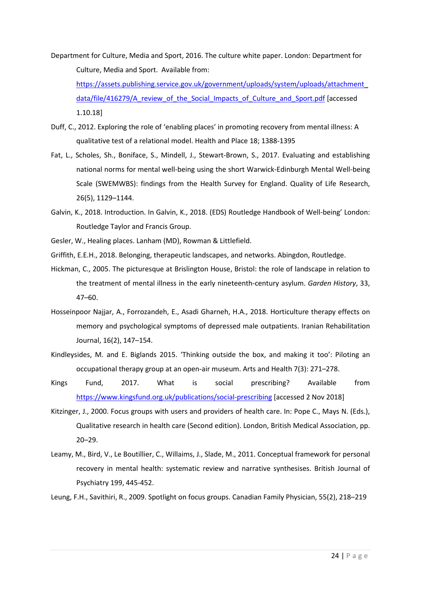Department for Culture, Media and Sport, 2016. The culture white paper. London: Department for Culture, Media and Sport. Available from:

[https://assets.publishing.service.gov.uk/government/uploads/system/uploads/attachment\\_](https://assets.publishing.service.gov.uk/government/uploads/system/uploads/attachment_data/file/416279/A_review_of_the_Social_Impacts_of_Culture_and_Sport.pdf) [data/file/416279/A\\_review\\_of\\_the\\_Social\\_Impacts\\_of\\_Culture\\_and\\_Sport.pdf](https://assets.publishing.service.gov.uk/government/uploads/system/uploads/attachment_data/file/416279/A_review_of_the_Social_Impacts_of_Culture_and_Sport.pdf) [accessed 1.10.18]

- Duff, C., 2012. Exploring the role of 'enabling places' in promoting recovery from mental illness: A qualitative test of a relational model. Health and Place 18; 1388-1395
- Fat, L., Scholes, Sh., Boniface, S., Mindell, J., Stewart-Brown, S., 2017. Evaluating and establishing national norms for mental well-being using the short Warwick-Edinburgh Mental Well-being Scale (SWEMWBS): findings from the Health Survey for England. Quality of Life Research, 26(5), 1129–1144.
- Galvin, K., 2018. Introduction. In Galvin, K., 2018. (EDS) Routledge Handbook of Well-being' London: Routledge Taylor and Francis Group.
- Gesler, W., Healing places. Lanham (MD), Rowman & Littlefield.
- Griffith, E.E.H., 2018. Belonging, therapeutic landscapes, and networks. Abingdon, Routledge.
- Hickman, C., 2005. The picturesque at Brislington House, Bristol: the role of landscape in relation to the treatment of mental illness in the early nineteenth-century asylum. *Garden History*, 33, 47–60.
- Hosseinpoor Najjar, A., Forrozandeh, E., Asadi Gharneh, H.A., 2018. Horticulture therapy effects on memory and psychological symptoms of depressed male outpatients. Iranian Rehabilitation Journal, 16(2), 147–154.
- Kindleysides, M. and E. Biglands 2015. 'Thinking outside the box, and making it too': Piloting an occupational therapy group at an open-air museum. Arts and Health 7(3): 271–278.
- Kings Fund, 2017. What is social prescribing? Available from <https://www.kingsfund.org.uk/publications/social-prescribing> [accessed 2 Nov 2018]
- Kitzinger, J., 2000. Focus groups with users and providers of health care. In: Pope C., Mays N. (Eds.), Qualitative research in health care (Second edition). London, British Medical Association, pp. 20–29.
- Leamy, M., Bird, V., Le Boutillier, C., Willaims, J., Slade, M., 2011. Conceptual framework for personal recovery in mental health: systematic review and narrative synthesises. British Journal of Psychiatry 199, 445-452.

Leung, F.H., Savithiri, R., 2009. Spotlight on focus groups. Canadian Family Physician, 55(2), 218–219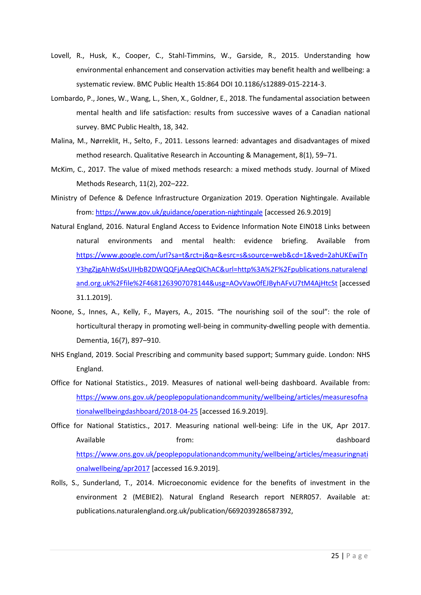- Lovell, R., Husk, K., Cooper, C., Stahl-Timmins, W., Garside, R., 2015. Understanding how environmental enhancement and conservation activities may benefit health and wellbeing: a systematic review. BMC Public Health 15:864 DOI 10.1186/s12889-015-2214-3.
- Lombardo, P., Jones, W., Wang, L., Shen, X., Goldner, E., 2018. The fundamental association between mental health and life satisfaction: results from successive waves of a Canadian national survey. BMC Public Health, 18, 342.
- Malina, M., Nørreklit, H., Selto, F., 2011. Lessons learned: advantages and disadvantages of mixed method research. Qualitative Research in Accounting & Management, 8(1), 59–71.
- McKim, C., 2017. The value of mixed methods research: a mixed methods study. Journal of Mixed Methods Research, 11(2), 202–222.
- Ministry of Defence & Defence Infrastructure Organization 2019. Operation Nightingale. Available from:<https://www.gov.uk/guidance/operation-nightingale> [accessed 26.9.2019]
- Natural England, 2016. Natural England Access to Evidence Information Note EIN018 Links between natural environments and mental health: evidence briefing. Available from [https://www.google.com/url?sa=t&rct=j&q=&esrc=s&source=web&cd=1&ved=2ahUKEwjTn](https://www.google.com/url?sa=t&rct=j&q=&esrc=s&source=web&cd=1&ved=2ahUKEwjTnY3hgZjgAhWdSxUIHbB2DWQQFjAAegQIChAC&url=http%3A%2F%2Fpublications.naturalengland.org.uk%2Ffile%2F4681263907078144&usg=AOvVaw0fEJByhAFvU7tM4AjHtcSt) [Y3hgZjgAhWdSxUIHbB2DWQQFjAAegQIChAC&url=http%3A%2F%2Fpublications.naturalengl](https://www.google.com/url?sa=t&rct=j&q=&esrc=s&source=web&cd=1&ved=2ahUKEwjTnY3hgZjgAhWdSxUIHbB2DWQQFjAAegQIChAC&url=http%3A%2F%2Fpublications.naturalengland.org.uk%2Ffile%2F4681263907078144&usg=AOvVaw0fEJByhAFvU7tM4AjHtcSt) [and.org.uk%2Ffile%2F4681263907078144&usg=AOvVaw0fEJByhAFvU7tM4AjHtcSt](https://www.google.com/url?sa=t&rct=j&q=&esrc=s&source=web&cd=1&ved=2ahUKEwjTnY3hgZjgAhWdSxUIHbB2DWQQFjAAegQIChAC&url=http%3A%2F%2Fpublications.naturalengland.org.uk%2Ffile%2F4681263907078144&usg=AOvVaw0fEJByhAFvU7tM4AjHtcSt) [accessed 31.1.2019].
- Noone, S., Innes, A., Kelly, F., Mayers, A., 2015. "The nourishing soil of the soul": the role of horticultural therapy in promoting well-being in community-dwelling people with dementia. Dementia, 16(7), 897–910.
- NHS England, 2019. Social Prescribing and community based support; Summary guide. London: NHS England.
- Office for National Statistics., 2019. Measures of national well-being dashboard. Available from: [https://www.ons.gov.uk/peoplepopulationandcommunity/wellbeing/articles/measuresofna](https://www.ons.gov.uk/peoplepopulationandcommunity/wellbeing/articles/measuresofnationalwellbeingdashboard/2018-04-25) [tionalwellbeingdashboard/2018-04-25](https://www.ons.gov.uk/peoplepopulationandcommunity/wellbeing/articles/measuresofnationalwellbeingdashboard/2018-04-25) [accessed 16.9.2019].
- Office for National Statistics., 2017. Measuring national well-being: Life in the UK, Apr 2017. Available **from:** the settlement of the settlement of the settlement of the settlement of the settlement of the set [https://www.ons.gov.uk/peoplepopulationandcommunity/wellbeing/articles/measuringnati](https://www.ons.gov.uk/peoplepopulationandcommunity/wellbeing/articles/measuringnationalwellbeing/apr2017) [onalwellbeing/apr2017](https://www.ons.gov.uk/peoplepopulationandcommunity/wellbeing/articles/measuringnationalwellbeing/apr2017) [accessed 16.9.2019].
- Rolls, S., Sunderland, T., 2014. Microeconomic evidence for the benefits of investment in the environment 2 (MEBIE2). Natural England Research report NERR057. Available at: publications.naturalengland.org.uk/publication/6692039286587392,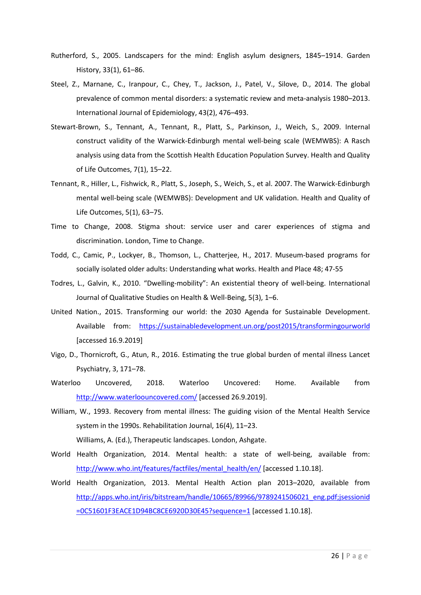- Rutherford, S., 2005. Landscapers for the mind: English asylum designers, 1845–1914. Garden History, 33(1), 61–86.
- Steel, Z., Marnane, C., Iranpour, C., Chey, T., Jackson, J., Patel, V., Silove, D., 2014. The global prevalence of common mental disorders: a systematic review and meta-analysis 1980–2013. International Journal of Epidemiology, 43(2), 476–493.
- Stewart-Brown, S., Tennant, A., Tennant, R., Platt, S., Parkinson, J., Weich, S., 2009. Internal construct validity of the Warwick-Edinburgh mental well-being scale (WEMWBS): A Rasch analysis using data from the Scottish Health Education Population Survey. Health and Quality of Life Outcomes, 7(1), 15–22.
- Tennant, R., Hiller, L., Fishwick, R., Platt, S., Joseph, S., Weich, S., et al. 2007. The Warwick-Edinburgh mental well-being scale (WEMWBS): Development and UK validation. Health and Quality of Life Outcomes, 5(1), 63–75.
- Time to Change, 2008. Stigma shout: service user and carer experiences of stigma and discrimination. London, Time to Change.
- Todd, C., Camic, P., Lockyer, B., Thomson, L., Chatterjee, H., 2017. Museum-based programs for socially isolated older adults: Understanding what works. Health and Place 48; 47-55
- Todres, L., Galvin, K., 2010. "Dwelling-mobility": An existential theory of well-being. International Journal of Qualitative Studies on Health & Well-Being, 5(3), 1–6.
- United Nation., 2015. Transforming our world: the 2030 Agenda for Sustainable Development. Available from: <https://sustainabledevelopment.un.org/post2015/transformingourworld> [accessed 16.9.2019]
- Vigo, D., Thornicroft, G., Atun, R., 2016. Estimating the true global burden of mental illness Lancet Psychiatry, 3, 171–78.
- Waterloo Uncovered, 2018. Waterloo Uncovered: Home. Available from <http://www.waterloouncovered.com/> [accessed 26.9.2019].
- William, W., 1993. Recovery from mental illness: The guiding vision of the Mental Health Service system in the 1990s. Rehabilitation Journal, 16(4), 11–23. Williams, A. (Ed.), Therapeutic landscapes. London, Ashgate.
- World Health Organization, 2014. Mental health: a state of well-being, available from: [http://www.who.int/features/factfiles/mental\\_health/en/](http://www.who.int/features/factfiles/mental_health/en/) [accessed 1.10.18].
- World Health Organization, 2013. Mental Health Action plan 2013–2020, available from [http://apps.who.int/iris/bitstream/handle/10665/89966/9789241506021\\_eng.pdf;jsessionid](http://apps.who.int/iris/bitstream/handle/10665/89966/9789241506021_eng.pdf;jsessionid=0C51601F3EACE1D94BC8CE6920D30E45?sequence=1) [=0C51601F3EACE1D94BC8CE6920D30E45?sequence=1](http://apps.who.int/iris/bitstream/handle/10665/89966/9789241506021_eng.pdf;jsessionid=0C51601F3EACE1D94BC8CE6920D30E45?sequence=1) [accessed 1.10.18].